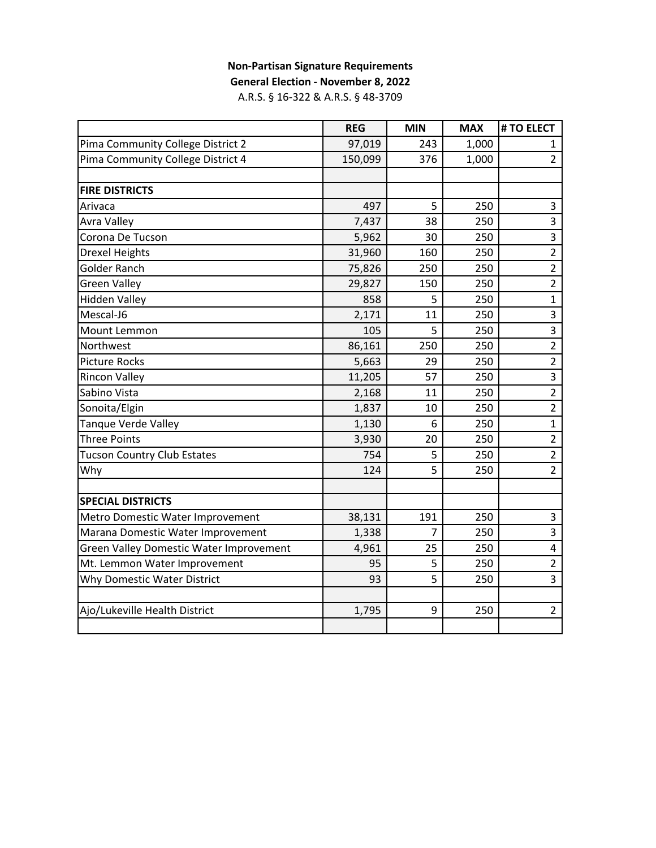# **Non-Partisan Signature Requirements**

**General Election - November 8, 2022**

A.R.S. § 16-322 & A.R.S. § 48-3709

|                                         | <b>REG</b> | <b>MIN</b> | <b>MAX</b> | # TO ELECT              |
|-----------------------------------------|------------|------------|------------|-------------------------|
| Pima Community College District 2       | 97,019     | 243        | 1,000      | 1                       |
| Pima Community College District 4       | 150,099    | 376        | 1,000      | $\overline{2}$          |
|                                         |            |            |            |                         |
| <b>FIRE DISTRICTS</b>                   |            |            |            |                         |
| Arivaca                                 | 497        | 5          | 250        | 3                       |
| <b>Avra Valley</b>                      | 7,437      | 38         | 250        | 3                       |
| Corona De Tucson                        | 5,962      | 30         | 250        | 3                       |
| <b>Drexel Heights</b>                   | 31,960     | 160        | 250        | $\overline{2}$          |
| <b>Golder Ranch</b>                     | 75,826     | 250        | 250        | $\overline{2}$          |
| <b>Green Valley</b>                     | 29,827     | 150        | 250        | $\overline{2}$          |
| <b>Hidden Valley</b>                    | 858        | 5          | 250        | $\overline{1}$          |
| Mescal-J6                               | 2,171      | 11         | 250        | 3                       |
| Mount Lemmon                            | 105        | 5          | 250        | $\overline{\mathbf{3}}$ |
| Northwest                               | 86,161     | 250        | 250        | $\overline{2}$          |
| <b>Picture Rocks</b>                    | 5,663      | 29         | 250        | $\overline{2}$          |
| <b>Rincon Valley</b>                    | 11,205     | 57         | 250        | $\overline{\mathbf{3}}$ |
| Sabino Vista                            | 2,168      | 11         | 250        | $\overline{2}$          |
| Sonoita/Elgin                           | 1,837      | 10         | 250        | $\overline{2}$          |
| Tanque Verde Valley                     | 1,130      | 6          | 250        | $\mathbf{1}$            |
| <b>Three Points</b>                     | 3,930      | 20         | 250        | $\overline{2}$          |
| <b>Tucson Country Club Estates</b>      | 754        | 5          | 250        | $\overline{2}$          |
| Why                                     | 124        | 5          | 250        | $\overline{2}$          |
|                                         |            |            |            |                         |
| <b>SPECIAL DISTRICTS</b>                |            |            |            |                         |
| Metro Domestic Water Improvement        | 38,131     | 191        | 250        | 3                       |
| Marana Domestic Water Improvement       | 1,338      | 7          | 250        | $\overline{3}$          |
| Green Valley Domestic Water Improvement | 4,961      | 25         | 250        | 4                       |
| Mt. Lemmon Water Improvement            | 95         | 5          | 250        | $\overline{2}$          |
| Why Domestic Water District             | 93         | 5          | 250        | $\overline{3}$          |
|                                         |            |            |            |                         |
| Ajo/Lukeville Health District           | 1,795      | 9          | 250        | $\overline{2}$          |
|                                         |            |            |            |                         |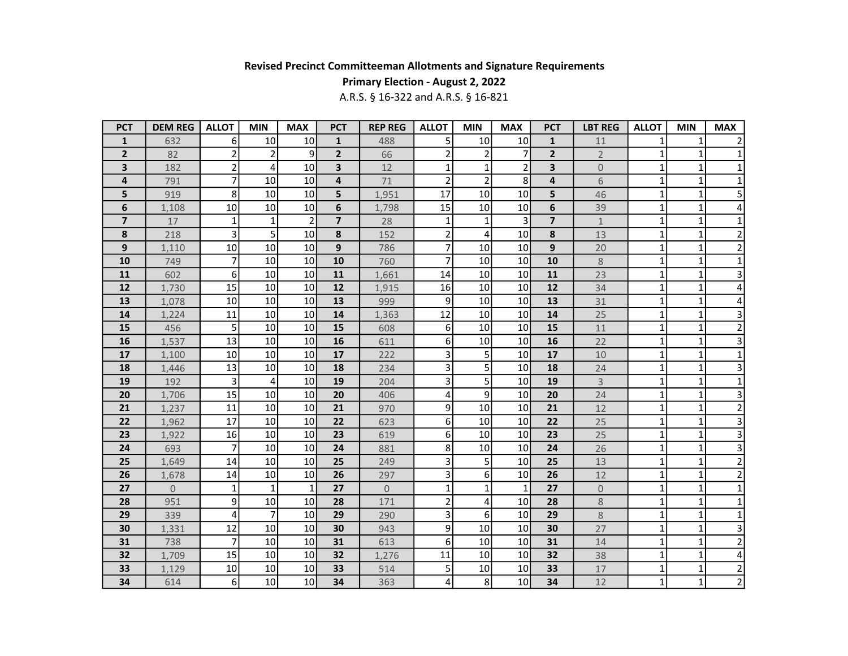## Primary Election - August 2, 2022

| <b>PCT</b>              | <b>DEM REG</b> | <b>ALLOT</b>   | <b>MIN</b>     | <b>MAX</b>     | <b>PCT</b>     | <b>REP REG</b> | <b>ALLOT</b>   | <b>MIN</b>     | <b>MAX</b>      | <b>PCT</b>     | <b>LBT REG</b>      | <b>ALLOT</b> | <b>MIN</b>   | <b>MAX</b>              |
|-------------------------|----------------|----------------|----------------|----------------|----------------|----------------|----------------|----------------|-----------------|----------------|---------------------|--------------|--------------|-------------------------|
| 1                       | 632            | 6              | 10             | 10             | $\mathbf{1}$   | 488            | 5              | 10             | 10              | $\mathbf{1}$   | 11                  | 1            | $\mathbf 1$  |                         |
| $\overline{2}$          | 82             | 2              | $\overline{2}$ | 9              | $\mathbf{2}$   | 66             | $\overline{2}$ | $\overline{2}$ | $\overline{7}$  | $\overline{2}$ | $2^{\circ}$         | $\mathbf{1}$ | $\mathbf 1$  | 1                       |
| 3                       | 182            | $\overline{2}$ | 4              | 10             | 3              | 12             | $\mathbf{1}$   | $\mathbf{1}$   | $\overline{2}$  | 3              | $\mathsf{O}\xspace$ | 1            | $\mathbf 1$  | 1                       |
| 4                       | 791            | $\overline{7}$ | 10             | 10             | $\overline{4}$ | 71             | $\overline{2}$ | $\overline{2}$ | 8               | 4              | 6                   | $\mathbf{1}$ | $\mathbf 1$  | $\mathbf 1$             |
| 5                       | 919            | 8              | 10             | 10             | 5              | 1,951          | 17             | 10             | 10 <sup>1</sup> | 5              | 46                  | $\mathbf{1}$ | $\mathbf 1$  | 5                       |
| 6                       | 1,108          | 10             | 10             | 10             | 6              | 1,798          | 15             | 10             | 10              | 6              | 39                  | $\mathbf{1}$ | $\mathbf 1$  | 4                       |
| $\overline{\mathbf{z}}$ | 17             | $\mathbf{1}$   | $\mathbf{1}$   | $\overline{2}$ | $\overline{7}$ | 28             | $\mathbf{1}$   | $\mathbf{1}$   | 3               | $\overline{7}$ | $\mathbf{1}$        | $\mathbf{1}$ | $\mathbf 1$  | $\mathbf 1$             |
| 8                       | 218            | $\overline{3}$ | 5              | 10             | 8              | 152            | $\overline{2}$ | 4              | 10              | 8              | 13                  | $\mathbf{1}$ | $\mathbf 1$  | $\overline{c}$          |
| 9                       | 1,110          | 10             | 10             | 10             | 9              | 786            | $\overline{7}$ | 10             | 10              | $\overline{9}$ | 20                  | 1            | $\mathbf 1$  | $\overline{2}$          |
| 10                      | 749            | 7              | 10             | 10             | 10             | 760            | 7              | 10             | 10              | 10             | $8\,$               | 1            | 1            | 1                       |
| 11                      | 602            | $6 \mid$       | 10             | 10             | 11             | 1,661          | 14             | 10             | 10              | 11             | 23                  | 1            | $\mathbf{1}$ | 3                       |
| 12                      | 1,730          | 15             | 10             | 10             | 12             | 1,915          | 16             | 10             | 10 <sup>1</sup> | 12             | 34                  | $\mathbf{1}$ | $\mathbf{1}$ | 4                       |
| 13                      | 1,078          | 10             | 10             | 10             | 13             | 999            | 9              | 10             | 10              | 13             | 31                  | $\mathbf{1}$ | $\mathbf{1}$ | 4                       |
| 14                      | 1,224          | 11             | 10             | 10             | 14             | 1,363          | 12             | 10             | 10 <sup>1</sup> | 14             | 25                  | $\mathbf{1}$ | $\mathbf 1$  | 3                       |
| 15                      | 456            | 5              | 10             | 10             | 15             | 608            | 6              | 10             | 10 <sup>1</sup> | 15             | 11                  | 1            | $\mathbf 1$  | $\overline{c}$          |
| 16                      | 1,537          | 13             | 10             | 10             | 16             | 611            | 6              | 10             | 10              | 16             | 22                  | 1            | $\mathbf 1$  | $\overline{3}$          |
| 17                      | 1,100          | 10             | 10             | 10             | 17             | 222            | 3              | 5              | 10              | 17             | 10                  | 1            | $\mathbf 1$  | $\mathbf 1$             |
| 18                      | 1,446          | 13             | 10             | 10             | 18             | 234            | 3              | 5              | 10              | 18             | 24                  | $\mathbf{1}$ | $\mathbf{1}$ | 3                       |
| 19                      | 192            | 3              | 4              | 10             | 19             | 204            | 3              | 5              | 10              | 19             | $\overline{3}$      | $\mathbf{1}$ | $\mathbf{1}$ | $\mathbf{1}$            |
| 20                      | 1,706          | 15             | 10             | 10             | 20             | 406            | 4              | 9              | 10              | 20             | 24                  | $\mathbf{1}$ | $\mathbf{1}$ | 3                       |
| 21                      | 1,237          | 11             | 10             | 10             | 21             | 970            | 9              | 10             | 10              | 21             | 12                  | 1            | $\mathbf 1$  | $\overline{\mathbf{c}}$ |
| 22                      | 1,962          | 17             | 10             | 10             | 22             | 623            | 6 <sup>1</sup> | 10             | 10 <sup>1</sup> | 22             | 25                  | 1            | $\mathbf 1$  | 3                       |
| 23                      | 1,922          | 16             | 10             | 10             | 23             | 619            | 6 <sup>1</sup> | 10             | 10              | 23             | 25                  | 1            | $\mathbf 1$  | $\overline{3}$          |
| 24                      | 693            | 7              | 10             | 10             | 24             | 881            | 8              | 10             | 10              | 24             | 26                  | $\mathbf{1}$ | $\mathbf 1$  | $\overline{3}$          |
| 25                      | 1,649          | 14             | 10             | 10             | 25             | 249            | 3              | 5              | 10              | 25             | 13                  | $\mathbf{1}$ | $\mathbf 1$  | $\overline{2}$          |
| 26                      | 1,678          | 14             | 10             | 10             | 26             | 297            | $\overline{3}$ | 6              | 10              | 26             | 12                  | $\mathbf{1}$ | $\mathbf 1$  | $\overline{2}$          |
| 27                      | $\Omega$       | $\mathbf{1}$   | $\mathbf{1}$   | $\mathbf{1}$   | 27             | $\overline{0}$ | $\mathbf{1}$   | $\mathbf{1}$   | $\mathbf{1}$    | 27             | $\overline{0}$      | $\mathbf{1}$ | $\mathbf 1$  | $\mathbf{1}$            |
| 28                      | 951            | 9              | 10             | 10             | 28             | 171            | $\overline{2}$ | 4              | 10 <sup>1</sup> | 28             | 8                   | 1            | $\mathbf 1$  | 1                       |
| 29                      | 339            | 4              | $\overline{7}$ | 10             | 29             | 290            | 3              | 6              | 10              | 29             | 8                   | 1            | $\mathbf 1$  | $\mathbf 1$             |
| 30                      | 1,331          | 12             | 10             | 10             | 30             | 943            | $\mathsf{g}$   | 10             | 10              | 30             | 27                  | 1            | $\mathbf 1$  | 3                       |
| 31                      | 738            | 7              | 10             | 10             | 31             | 613            | $6 \mid$       | 10             | 10              | 31             | 14                  | 1            | $\mathbf 1$  | $\overline{2}$          |
| 32                      | 1,709          | 15             | 10             | 10             | 32             | 1,276          | 11             | 10             | 10              | 32             | 38                  | $\mathbf{1}$ | $\mathbf 1$  | $\overline{\mathbf{4}}$ |
| 33                      | 1,129          | 10             | 10             | 10             | 33             | 514            | 5              | 10             | 10              | 33             | 17                  | $\mathbf{1}$ | $\mathbf 1$  | $\overline{\mathbf{c}}$ |
| 34                      | 614            | 6 <sup>1</sup> | 10             | 10             | 34             | 363            | 4              | 8              | 10              | 34             | 12                  | $\mathbf{1}$ | $\mathbf{1}$ | $\overline{2}$          |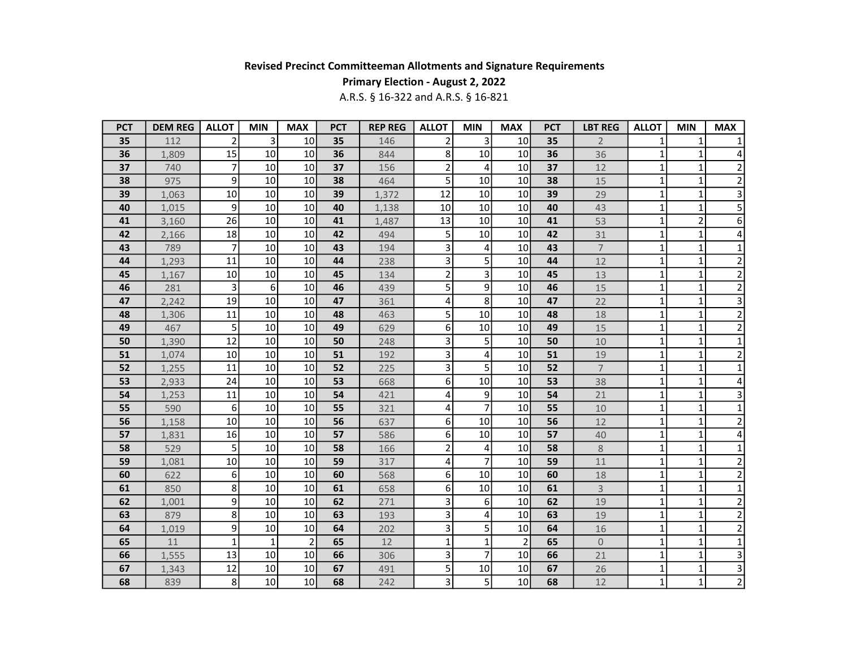## Primary Election - August 2, 2022

| <b>PCT</b> | <b>DEM REG</b> | <b>ALLOT</b>     | <b>MIN</b>   | <b>MAX</b>      | <b>PCT</b> | <b>REP REG</b> | <b>ALLOT</b>   | <b>MIN</b>     | <b>MAX</b>      | <b>PCT</b> | <b>LBT REG</b>      | <b>ALLOT</b> | <b>MIN</b>     | <b>MAX</b>              |
|------------|----------------|------------------|--------------|-----------------|------------|----------------|----------------|----------------|-----------------|------------|---------------------|--------------|----------------|-------------------------|
| 35         | 112            | $\overline{2}$   | 3            | 10              | 35         | 146            | $\overline{2}$ | 3              | 10              | 35         | $\overline{2}$      |              | 1              | 1                       |
| 36         | 1,809          | 15               | 10           | 10              | 36         | 844            | 8              | 10             | 10 <sup>1</sup> | 36         | 36                  | 1            | 1              | 4                       |
| 37         | 740            | 7                | 10           | 10 <sub>1</sub> | 37         | 156            | $\overline{2}$ | $\overline{4}$ | 10              | 37         | $12$                | $\mathbf{1}$ | $\mathbf{1}$   | $\overline{2}$          |
| 38         | 975            | $\mathsf{g}$     | 10           | 10              | 38         | 464            | $\overline{5}$ | 10             | 10              | 38         | 15                  | 1            | $\mathbf 1$    | $\overline{2}$          |
| 39         | 1,063          | 10               | 10           | 10 <sup>1</sup> | 39         | 1,372          | 12             | 10             | 10              | 39         | 29                  | 1            | $\mathbf{1}$   | 3                       |
| 40         | 1,015          | $\mathsf{g}$     | 10           | 10              | 40         | 1,138          | 10             | 10             | 10              | 40         | 43                  | $\mathbf{1}$ | $\mathbf{1}$   | $\overline{\mathbf{5}}$ |
| 41         | 3,160          | 26               | 10           | 10              | 41         | 1,487          | 13             | 10             | 10 <sup>1</sup> | 41         | 53                  | $\mathbf{1}$ | $\overline{2}$ | $\overline{6}$          |
| 42         | 2,166          | 18               | 10           | 10              | 42         | 494            | 5 <sup>1</sup> | 10             | 10              | 42         | 31                  | 1            | 1              | 4                       |
| 43         | 789            | 7                | 10           | 10              | 43         | 194            | 3              | 4              | 10              | 43         | $\overline{7}$      | $\mathbf{1}$ | $\mathbf{1}$   | $\mathbf{1}$            |
| 44         | 1,293          | 11               | 10           | 10              | 44         | 238            | 3              | 5              | 10              | 44         | 12                  | 1            | $\mathbf 1$    | $\overline{\mathbf{c}}$ |
| 45         | 1,167          | 10               | 10           | 10              | 45         | 134            | $\overline{2}$ | 3              | 10 <sup>1</sup> | 45         | 13                  | $\mathbf{1}$ | $\mathbf 1$    | $\overline{2}$          |
| 46         | 281            | 3                | 6            | 10              | 46         | 439            | 5 <sup>1</sup> | 9              | 10              | 46         | 15                  | $\mathbf{1}$ | $\mathbf 1$    | $\overline{2}$          |
| 47         | 2,242          | 19               | 10           | 10              | 47         | 361            | 4              | 8              | 10 <sup>1</sup> | 47         | 22                  | $\mathbf{1}$ | $\mathbf 1$    | $\overline{\mathbf{3}}$ |
| 48         | 1,306          | 11               | 10           | 10              | 48         | 463            | 5              | 10             | 10 <sup>1</sup> | 48         | 18                  | $\mathbf{1}$ | $\mathbf{1}$   | $\overline{c}$          |
| 49         | 467            | 5                | 10           | 10              | 49         | 629            | 6 <sup>1</sup> | 10             | 10 <sup>1</sup> | 49         | 15                  | 1            | $\mathbf 1$    | $\overline{c}$          |
| 50         | 1,390          | 12               | 10           | 10              | 50         | 248            | 3              | 5              | 10              | 50         | 10                  | 1            | $\mathbf 1$    | $\mathbf 1$             |
| 51         | 1,074          | 10               | 10           | 10              | 51         | 192            | 3              | 4              | 10              | 51         | 19                  | $\mathbf{1}$ | $\mathbf{1}$   | $\overline{2}$          |
| 52         | 1,255          | 11               | 10           | 10              | 52         | 225            | $\overline{3}$ | 5              | 10              | 52         | $\overline{7}$      | 1            | $\mathbf 1$    | $\mathbf 1$             |
| 53         | 2,933          | 24               | 10           | 10 <sup>1</sup> | 53         | 668            | 6 <sup>1</sup> | 10             | 10              | 53         | 38                  | $\mathbf{1}$ | $\mathbf 1$    | 4                       |
| 54         | 1,253          | 11               | 10           | 10              | 54         | 421            | 4              | 9              | 10              | 54         | 21                  | $\mathbf{1}$ | $\mathbf 1$    | 3                       |
| 55         | 590            | 6                | 10           | 10              | 55         | 321            | 4              | $\overline{7}$ | 10 <sup>1</sup> | 55         | 10                  | $\mathbf{1}$ | $\mathbf{1}$   | $\mathbf{1}$            |
| 56         | 1,158          | 10               | 10           | 10              | 56         | 637            | 6 <sup>1</sup> | 10             | 10              | 56         | 12                  | 1            | $\mathbf 1$    | $\overline{\mathbf{c}}$ |
| 57         | 1,831          | 16               | 10           | 10              | 57         | 586            | 6 <sup>1</sup> | 10             | 10              | 57         | 40                  | 1            | $\mathbf 1$    | 4                       |
| 58         | 529            | 5                | 10           | 10              | 58         | 166            | $\overline{2}$ | 4              | 10              | 58         | $8\,$               | $\mathbf{1}$ | $\mathbf{1}$   | $\mathbf{1}$            |
| 59         | 1,081          | 10               | 10           | 10              | 59         | 317            | $\overline{4}$ | $\overline{7}$ | 10              | 59         | 11                  | 1            | $\mathbf 1$    | $\overline{\mathbf{c}}$ |
| 60         | 622            | $6 \overline{6}$ | 10           | 10              | 60         | 568            | $6 \mid$       | 10             | 10 <sup>1</sup> | 60         | 18                  | $\mathbf{1}$ | $\mathbf{1}$   | $\overline{\mathbf{c}}$ |
| 61         | 850            | 8                | 10           | 10              | 61         | 658            | 6 <sup>1</sup> | 10             | 10              | 61         | 3                   | $\mathbf{1}$ | $\mathbf{1}$   | $\mathbf{1}$            |
| 62         | 1,001          | 9                | 10           | 10              | 62         | 271            | 3              | 6              | 10 <sup>1</sup> | 62         | 19                  | $\mathbf{1}$ | $\mathbf{1}$   | $\overline{\mathbf{c}}$ |
| 63         | 879            | 8 <sup>1</sup>   | 10           | 10              | 63         | 193            | 3              | 4              | 10              | 63         | 19                  | 1            | $\mathbf 1$    | $\overline{\mathbf{c}}$ |
| 64         | 1,019          | $\mathsf{g}$     | 10           | 10 <sup>1</sup> | 64         | 202            | 3              | 5              | 10              | 64         | 16                  | 1            | $\mathbf 1$    | $\mathbf 2$             |
| 65         | 11             | $\mathbf{1}$     | $\mathbf{1}$ | $\overline{2}$  | 65         | 12             | $\mathbf{1}$   | 1              | $\overline{2}$  | 65         | $\mathsf{O}\xspace$ | $\mathbf{1}$ | $\mathbf 1$    | $\overline{1}$          |
| 66         | 1,555          | 13               | 10           | 10              | 66         | 306            | 3              | $\overline{7}$ | 10 <sup>1</sup> | 66         | 21                  | 1            | $\mathbf 1$    | $\overline{\mathbf{3}}$ |
| 67         | 1,343          | 12               | 10           | 10              | 67         | 491            | 5 <sup>1</sup> | 10             | 10              | 67         | 26                  | 1            | $\mathbf 1$    | $\overline{3}$          |
| 68         | 839            | 8                | 10           | 10              | 68         | 242            | 3              | 5              | 10              | 68         | 12                  | $\mathbf{1}$ | $\overline{1}$ | $\overline{2}$          |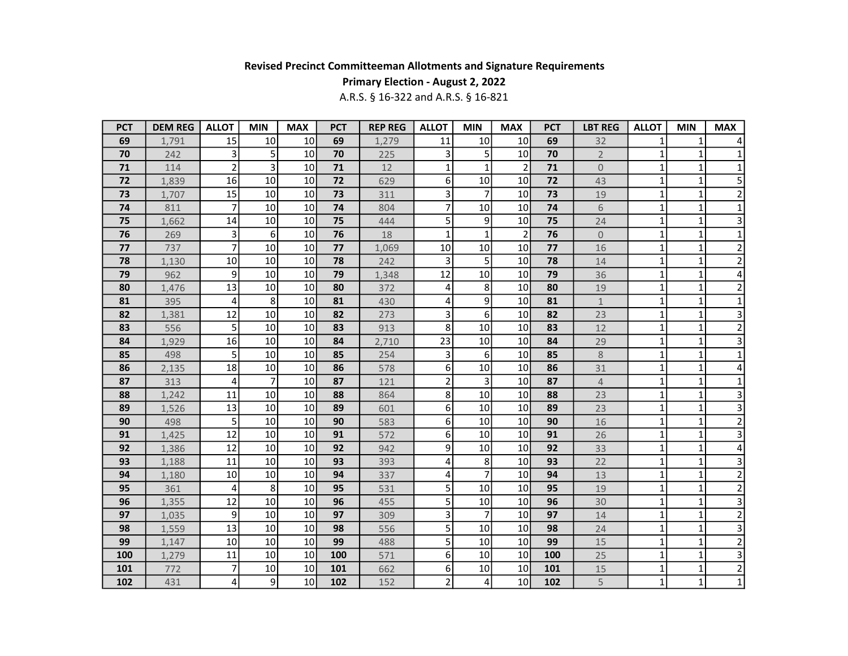## Primary Election - August 2, 2022

| <b>PCT</b> | <b>DEM REG</b> | <b>ALLOT</b>   | <b>MIN</b> | <b>MAX</b>      | <b>PCT</b> | <b>REP REG</b> | <b>ALLOT</b>            | <b>MIN</b>     | <b>MAX</b>      | <b>PCT</b> | <b>LBT REG</b> | <b>ALLOT</b> | <b>MIN</b>   | <b>MAX</b>              |
|------------|----------------|----------------|------------|-----------------|------------|----------------|-------------------------|----------------|-----------------|------------|----------------|--------------|--------------|-------------------------|
| 69         | 1,791          | 15             | 10         | 10 <sup>1</sup> | 69         | 1,279          | 11                      | 10             | 10              | 69         | 32             | 1            | 1            |                         |
| 70         | 242            | 3              | 5          | 10 <sup>1</sup> | 70         | 225            | 3                       | 5              | 10              | 70         | $\overline{2}$ | 1            | 1            | 1                       |
| 71         | 114            | $\overline{2}$ | 3          | 10              | 71         | 12             | $\mathbf{1}$            | $\mathbf{1}$   | $\overline{2}$  | 71         | $\overline{0}$ | 1            | 1            | 1                       |
| 72         | 1,839          | 16             | 10         | 10 <sup>1</sup> | 72         | 629            | 6                       | 10             | 10              | 72         | 43             | $\mathbf{1}$ | 1            | 5                       |
| 73         | 1,707          | 15             | 10         | 10 <sup>1</sup> | 73         | 311            | 3                       | $\overline{7}$ | 10              | 73         | 19             | $\mathbf{1}$ | $\mathbf{1}$ | $\overline{2}$          |
| 74         | 811            | 7              | 10         | 10 <sup>1</sup> | 74         | 804            | $\overline{7}$          | 10             | 10              | 74         | 6              | $\mathbf{1}$ | $\mathbf{1}$ | $\mathbf{1}$            |
| 75         | 1,662          | 14             | 10         | 10              | 75         | 444            | 5                       | 9              | 10              | 75         | 24             | 1            | $\mathbf 1$  | 3                       |
| 76         | 269            | 3              | 6          | 10 <sup>1</sup> | 76         | 18             | $\mathbf 1$             | $\mathbf{1}$   | $\overline{2}$  | 76         | $\mathbf{0}$   | 1            | 1            | $\mathbf 1$             |
| 77         | 737            | $\overline{7}$ | 10         | 10 <sup>1</sup> | 77         | 1,069          | 10                      | 10             | 10              | 77         | 16             | $\mathbf{1}$ | $\mathbf{1}$ | $\overline{c}$          |
| 78         | 1,130          | 10             | 10         | 10 <sup>1</sup> | 78         | 242            | 3                       | 5              | 10              | 78         | 14             | 1            | 1            | $\mathbf 2$             |
| 79         | 962            | 9              | 10         | 10              | 79         | 1,348          | 12                      | 10             | 10              | 79         | 36             | $\mathbf{1}$ | $\mathbf{1}$ | 4                       |
| 80         | 1,476          | 13             | 10         | 10 <sup>1</sup> | 80         | 372            | 4                       | 8              | 10 <sup>1</sup> | 80         | 19             | $\mathbf{1}$ | $\mathbf{1}$ | $\overline{c}$          |
| 81         | 395            | 4              | 8          | 10              | 81         | 430            | 4                       | 9              | 10              | 81         | $\mathbf{1}$   | $\mathbf{1}$ | $\mathbf 1$  | $\mathbf{1}$            |
| 82         | 1,381          | 12             | 10         | 10              | 82         | 273            | $\overline{\mathbf{3}}$ | 6              | 10              | 82         | 23             | 1            | $\mathbf 1$  | 3                       |
| 83         | 556            | 5              | 10         | 10 <sup>1</sup> | 83         | 913            | 8 <sup>1</sup>          | 10             | 10              | 83         | 12             | 1            | $\mathbf 1$  | $\overline{c}$          |
| 84         | 1,929          | 16             | 10         | 10 <sup>1</sup> | 84         | 2,710          | 23                      | 10             | 10              | 84         | 29             | 1            | $\mathbf 1$  | $\overline{\mathbf{3}}$ |
| 85         | 498            | 5              | 10         | 10 <sup>1</sup> | 85         | 254            | 3                       | 6              | 10              | 85         | 8              | 1            | 1            | $\mathbf 1$             |
| 86         | 2,135          | 18             | 10         | 10 <sup>1</sup> | 86         | 578            | 6                       | 10             | 10              | 86         | 31             | $\mathbf{1}$ | $\mathbf{1}$ | 4                       |
| 87         | 313            | 4              | 7          | 10 <sup>1</sup> | 87         | 121            | $\overline{2}$          | 3              | 10              | 87         | $\overline{4}$ | $\mathbf{1}$ | 1            | $\mathbf{1}$            |
| 88         | 1,242          | 11             | 10         | 10              | 88         | 864            | 8                       | 10             | 10              | 88         | 23             | $\mathbf{1}$ | $\mathbf 1$  | 3                       |
| 89         | 1,526          | 13             | 10         | 10              | 89         | 601            | 6                       | 10             | 10              | 89         | 23             | 1            | $\mathbf 1$  | 3                       |
| 90         | 498            | 5              | 10         | 10 <sup>1</sup> | 90         | 583            | 6                       | 10             | 10              | 90         | 16             | 1            | $\mathbf{1}$ | $\overline{c}$          |
| 91         | 1,425          | 12             | 10         | 10              | 91         | 572            | 6                       | 10             | 10              | 91         | 26             | 1            | $\mathbf{1}$ | $\overline{3}$          |
| 92         | 1,386          | 12             | 10         | 10              | 92         | 942            | 9                       | 10             | 10              | 92         | 33             | $\mathbf{1}$ | 1            | $\overline{4}$          |
| 93         | 1,188          | 11             | 10         | 10              | 93         | 393            | 4                       | 8              | 10              | 93         | 22             | $\mathbf{1}$ | $\mathbf{1}$ | 3                       |
| 94         | 1,180          | 10             | 10         | 10 <sup>1</sup> | 94         | 337            | 4                       | $\overline{7}$ | 10              | 94         | 13             | $\mathbf{1}$ | $\mathbf{1}$ | $\overline{c}$          |
| 95         | 361            | 4              | 8          | 10              | 95         | 531            | 5                       | 10             | 10              | 95         | 19             | $\mathbf{1}$ | $\mathbf 1$  | $\overline{2}$          |
| 96         | 1,355          | 12             | 10         | 10              | 96         | 455            | $\overline{\mathbf{5}}$ | 10             | 10              | 96         | 30             | 1            | $\mathbf 1$  | $\overline{\mathbf{3}}$ |
| 97         | 1,035          | 9              | 10         | 10 <sup>1</sup> | 97         | 309            | 3                       | $\overline{7}$ | 10              | 97         | 14             | 1            | $\mathbf{1}$ | $\overline{2}$          |
| 98         | 1,559          | 13             | 10         | 10              | 98         | 556            | $\overline{5}$          | 10             | 10              | 98         | 24             | 1            | $\mathbf{1}$ | $\overline{\mathbf{3}}$ |
| 99         | 1,147          | 10             | 10         | 10              | 99         | 488            | $\overline{5}$          | 10             | 10              | 99         | 15             | 1            | 1            | $\overline{2}$          |
| 100        | 1,279          | 11             | 10         | 10 <sup>1</sup> | 100        | 571            | 6                       | 10             | 10              | 100        | 25             | $\mathbf{1}$ | $\mathbf{1}$ | 3                       |
| 101        | 772            | 7              | 10         | 10              | 101        | 662            | 6                       | 10             | 10              | 101        | 15             | $\mathbf{1}$ | 1            | $\mathbf 2$             |
| 102        | 431            | 4              | 9          | 10              | 102        | 152            | $\overline{2}$          | 4              | 10              | 102        | 5              | $\mathbf{1}$ | $\mathbf{1}$ | $\overline{1}$          |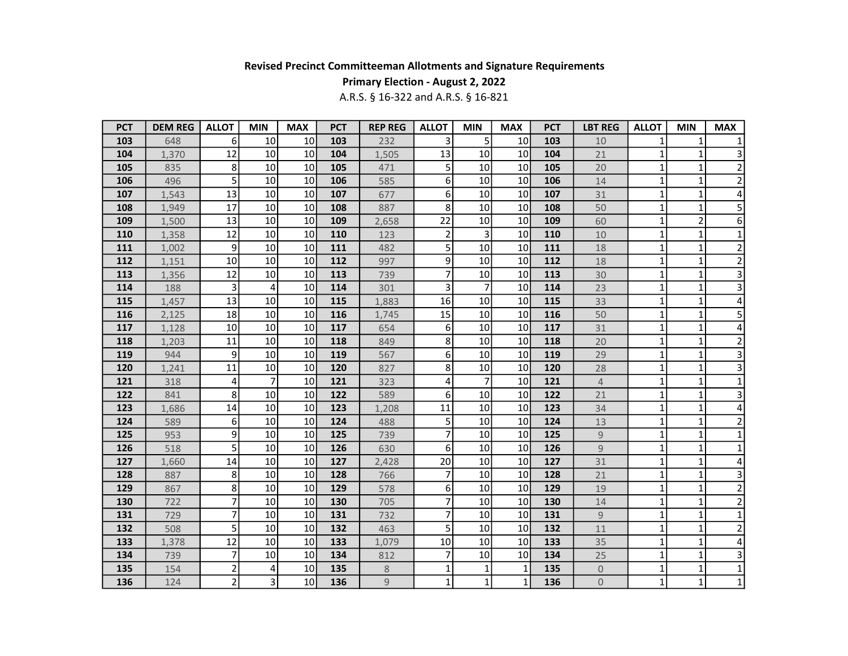## Primary Election - August 2, 2022

| <b>PCT</b> | <b>DEM REG</b> | <b>ALLOT</b>    | <b>MIN</b> | <b>MAX</b>      | <b>PCT</b> | <b>REP REG</b> | <b>ALLOT</b>   | <b>MIN</b>     | <b>MAX</b>   | <b>PCT</b> | <b>LBT REG</b> | <b>ALLOT</b> | <b>MIN</b>     | <b>MAX</b>              |
|------------|----------------|-----------------|------------|-----------------|------------|----------------|----------------|----------------|--------------|------------|----------------|--------------|----------------|-------------------------|
| 103        | 648            | 6               | 10         | 10              | 103        | 232            | 3              | 5              | 10           | 103        | 10             |              | 1              | 1                       |
| 104        | 1,370          | 12              | 10         | 10              | 104        | 1,505          | 13             | 10             | 10           | 104        | 21             | 1            | 1              | 3                       |
| 105        | 835            | 8               | 10         | 10              | 105        | 471            | 5 <sup>1</sup> | 10             | 10           | 105        | 20             | $\mathbf{1}$ | 1              | $\overline{2}$          |
| 106        | 496            | 5               | 10         | 10              | 106        | 585            | 6              | 10             | 10           | 106        | 14             | $\mathbf{1}$ | $\mathbf 1$    | $\overline{2}$          |
| 107        | 1,543          | 13              | 10         | 10              | 107        | 677            | 6 <sup>1</sup> | 10             | 10           | 107        | 31             | 1            | $\mathbf{1}$   | 4                       |
| 108        | 1,949          | 17              | 10         | 10              | 108        | 887            | 8              | 10             | 10           | 108        | 50             | $\mathbf{1}$ | $\mathbf{1}$   | 5                       |
| 109        | 1,500          | 13              | 10         | 10              | 109        | 2,658          | 22             | 10             | 10           | 109        | 60             | $\mathbf{1}$ | $\overline{2}$ | 6                       |
| 110        | 1,358          | 12              | 10         | 10              | 110        | 123            | $\overline{2}$ | 3              | 10           | 110        | 10             | 1            | 1              | $\mathbf{1}$            |
| 111        | 1,002          | 9               | 10         | 10              | 111        | 482            | 5              | 10             | 10           | 111        | 18             | $\mathbf{1}$ | $\mathbf{1}$   | $\overline{2}$          |
| 112        | 1,151          | 10              | 10         | 10              | 112        | 997            | 9              | 10             | 10           | 112        | 18             | $\mathbf{1}$ | 1              | $\overline{c}$          |
| 113        | 1,356          | 12              | 10         | 10              | 113        | 739            | $\overline{7}$ | 10             | 10           | 113        | 30             | $\mathbf{1}$ | $\mathbf{1}$   | 3                       |
| 114        | 188            | 3               | 4          | 10              | 114        | 301            | 3              | $\overline{7}$ | 10           | 114        | 23             | $\mathbf{1}$ | 1              | 3                       |
| 115        | 1,457          | 13              | 10         | 10              | 115        | 1,883          | 16             | 10             | 10           | 115        | 33             | $\mathbf{1}$ | $\mathbf 1$    | 4                       |
| 116        | 2,125          | 18              | 10         | 10              | 116        | 1,745          | 15             | 10             | 10           | 116        | 50             | 1            | 1              | 5                       |
| 117        | 1,128          | 10 <sup>1</sup> | 10         | 10              | 117        | 654            | 6              | 10             | 10           | 117        | 31             | 1            | 1              | $\pmb{4}$               |
| 118        | 1,203          | 11              | 10         | 10              | 118        | 849            | 8              | 10             | 10           | 118        | 20             | 1            | $\mathbf{1}$   | $\overline{c}$          |
| 119        | 944            | 9               | 10         | 10              | 119        | 567            | 6              | 10             | 10           | 119        | 29             | 1            | 1              | 3                       |
| 120        | 1,241          | 11              | 10         | 10 <sup>1</sup> | 120        | 827            | 8              | 10             | 10           | 120        | 28             | $\mathbf{1}$ | 1              | $\overline{\mathbf{3}}$ |
| 121        | 318            | 4               | 7          | 10              | 121        | 323            | 4              | 7              | 10           | 121        | 4              | 1            | 1              | 1                       |
| 122        | 841            | 8               | 10         | 10              | 122        | 589            | 6              | 10             | 10           | 122        | 21             | $\mathbf{1}$ | $\mathbf{1}$   | 3                       |
| 123        | 1,686          | 14              | 10         | 10              | 123        | 1,208          | 11             | 10             | 10           | 123        | 34             | 1            | 1              | 4                       |
| 124        | 589            | $6 \mid$        | 10         | 10              | 124        | 488            | 5 <sup>1</sup> | 10             | 10           | 124        | 13             | 1            | 1              | $\overline{\mathbf{c}}$ |
| 125        | 953            | 9               | 10         | 10              | 125        | 739            | $\overline{7}$ | 10             | 10           | 125        | $\mathsf g$    | 1            | $\mathbf{1}$   | $\mathbf 1$             |
| 126        | 518            | 5               | 10         | 10              | 126        | 630            | $6 \mid$       | 10             | 10           | 126        | 9              | 1            | 1              | $\mathbf 1$             |
| 127        | 1,660          | 14              | 10         | 10              | 127        | 2,428          | 20             | 10             | 10           | 127        | 31             | $\mathbf{1}$ | 1              | 4                       |
| 128        | 887            | 8               | 10         | 10              | 128        | 766            | $\overline{7}$ | 10             | 10           | 128        | 21             | $\mathbf{1}$ | 1              | 3                       |
| 129        | 867            | 8               | 10         | 10              | 129        | 578            | 6              | 10             | 10           | 129        | 19             | $\mathbf{1}$ | $\mathbf 1$    | $\overline{\mathbf{c}}$ |
| 130        | 722            | $\overline{7}$  | 10         | 10              | 130        | 705            | $\overline{7}$ | 10             | 10           | 130        | 14             | $\mathbf{1}$ | $\mathbf 1$    | $\overline{\mathbf{c}}$ |
| 131        | 729            | $\overline{7}$  | 10         | 10              | 131        | 732            | $\overline{7}$ | 10             | 10           | 131        | $\overline{9}$ | 1            | $\mathbf{1}$   | $\mathbf{1}$            |
| 132        | 508            | 5               | 10         | 10              | 132        | 463            | 5              | 10             | 10           | 132        | 11             | 1            | $\mathbf{1}$   | $\overline{\mathbf{c}}$ |
| 133        | 1,378          | 12              | 10         | 10              | 133        | 1,079          | 10             | 10             | 10           | 133        | 35             | $\mathbf{1}$ | $\mathbf{1}$   | 4                       |
| 134        | 739            | $\overline{7}$  | 10         | 10              | 134        | 812            | $\overline{7}$ | 10             | 10           | 134        | 25             | $\mathbf{1}$ | $\mathbf{1}$   | 3                       |
| 135        | 154            | $\overline{2}$  | 4          | 10              | 135        | 8              | $\mathbf{1}$   | $\mathbf{1}$   | 1            | 135        | $\mathbf 0$    | 1            | 1              | 1                       |
| 136        | 124            | $\overline{c}$  | 3          | 10 <sub>1</sub> | 136        | 9              | $1\vert$       | $\mathbf{1}$   | $\mathbf{1}$ | 136        | $\overline{0}$ | $\mathbf{1}$ | $\mathbf{1}$   | $\mathbf{1}$            |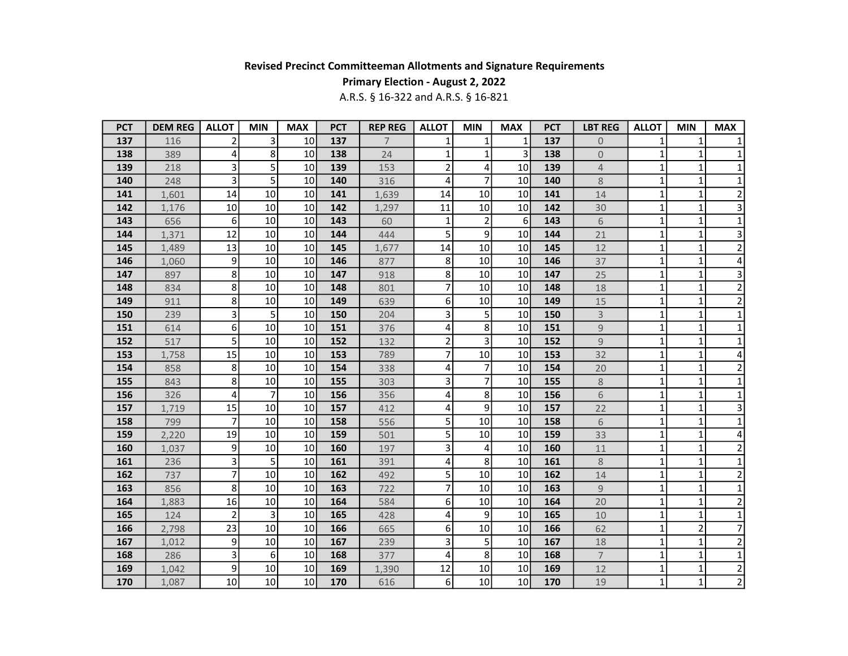## Primary Election - August 2, 2022

| <b>PCT</b> | <b>DEM REG</b> | <b>ALLOT</b>   | <b>MIN</b>     | <b>MAX</b>      | <b>PCT</b> | <b>REP REG</b> | <b>ALLOT</b>            | <b>MIN</b>     | <b>MAX</b> | <b>PCT</b> | <b>LBT REG</b>   | <b>ALLOT</b> | <b>MIN</b>     | <b>MAX</b>              |
|------------|----------------|----------------|----------------|-----------------|------------|----------------|-------------------------|----------------|------------|------------|------------------|--------------|----------------|-------------------------|
| 137        | 116            | 2              | 3              | 10              | 137        | $\overline{7}$ | 1                       | $\mathbf{1}$   | 1          | 137        | $\boldsymbol{0}$ |              | 1              |                         |
| 138        | 389            | 4              | 8              | 10              | 138        | 24             | $\mathbf{1}$            | 1              | 3          | 138        | $\mathbf 0$      | 1            | 1              | 1                       |
| 139        | 218            | 3              | 5              | 10              | 139        | 153            | $\overline{\mathbf{c}}$ | 4              | 10         | 139        | $\overline{4}$   | $\mathbf{1}$ | 1              | $\mathbf 1$             |
| 140        | 248            | 3              | 5              | 10              | 140        | 316            | 4                       | $\overline{7}$ | 10         | 140        | 8                | $\mathbf{1}$ | $\mathbf 1$    | $\mathbf 1$             |
| 141        | 1,601          | 14             | 10             | 10              | 141        | 1,639          | 14                      | 10             | 10         | 141        | 14               | 1            | 1              | $\overline{2}$          |
| 142        | 1,176          | 10             | 10             | 10              | 142        | 1,297          | 11                      | 10             | 10         | 142        | 30               | $\mathbf{1}$ | $\mathbf{1}$   | 3                       |
| 143        | 656            | 6              | 10             | 10              | 143        | 60             | $\mathbf{1}$            | $\overline{2}$ | 6          | 143        | 6                | $\mathbf{1}$ | $\mathbf{1}$   | 1                       |
| 144        | 1,371          | 12             | 10             | 10              | 144        | 444            | 5                       | 9              | 10         | 144        | 21               | 1            | 1              | 3                       |
| 145        | 1,489          | 13             | 10             | 10              | 145        | 1,677          | 14                      | 10             | 10         | 145        | 12               | 1            | $\mathbf{1}$   | $\overline{c}$          |
| 146        | 1,060          | 9              | 10             | 10              | 146        | 877            | 8                       | 10             | 10         | 146        | 37               | 1            | 1              | 4                       |
| 147        | 897            | 8              | 10             | 10              | 147        | 918            | 8 <sup>1</sup>          | 10             | 10         | 147        | 25               | 1            | $\mathbf{1}$   | 3                       |
| 148        | 834            | 8              | 10             | 10              | 148        | 801            | 7                       | 10             | 10         | 148        | 18               | $\mathbf{1}$ | 1              | $\overline{c}$          |
| 149        | 911            | 8              | 10             | 10              | 149        | 639            | 6 <sup>1</sup>          | 10             | 10         | 149        | 15               | $\mathbf{1}$ | $\mathbf 1$    | $\overline{2}$          |
| 150        | 239            | 3              | 5              | 10              | 150        | 204            | 3                       | 5              | 10         | 150        | $\mathsf{3}$     | 1            | $\mathbf{1}$   | 1                       |
| 151        | 614            | 6 <sup>1</sup> | 10             | 10              | 151        | 376            | 4                       | 8              | 10         | 151        | $\mathsf 9$      | 1            | 1              | 1                       |
| 152        | 517            | 5              | 10             | 10              | 152        | 132            | $\overline{2}$          | 3              | 10         | 152        | $\overline{9}$   | 1            | $\mathbf{1}$   | $\mathbf 1$             |
| 153        | 1,758          | 15             | 10             | 10 <sup>1</sup> | 153        | 789            | 7                       | 10             | 10         | 153        | 32               | 1            | 1              | 4                       |
| 154        | 858            | 8              | 10             | 10 <sup>1</sup> | 154        | 338            | 4                       | $\overline{7}$ | 10         | 154        | 20               | 1            | 1              | $\overline{2}$          |
| 155        | 843            | 8              | 10             | 10              | 155        | 303            | 3                       | $\overline{7}$ | 10         | 155        | 8                | 1            | 1              | 1                       |
| 156        | 326            | 4              | $\overline{7}$ | 10              | 156        | 356            | 4                       | 8              | 10         | 156        | 6                | $\mathbf{1}$ | $\mathbf{1}$   | $\mathbf{1}$            |
| 157        | 1,719          | 15             | 10             | 10              | 157        | 412            | 4                       | 9              | 10         | 157        | 22               | 1            | 1              | 3                       |
| 158        | 799            | 7              | 10             | 10              | 158        | 556            | 5 <sup>1</sup>          | 10             | 10         | 158        | 6                | 1            | 1              | $\mathbf 1$             |
| 159        | 2,220          | 19             | 10             | 10              | 159        | 501            | 5                       | 10             | 10         | 159        | 33               | 1            | $\mathbf{1}$   | 4                       |
| 160        | 1,037          | 9              | 10             | 10              | 160        | 197            | 3                       | 4              | 10         | 160        | 11               | 1            | 1              | $\overline{\mathbf{c}}$ |
| 161        | 236            | 3              | 5              | 10              | 161        | 391            | 4                       | 8              | 10         | 161        | 8                | $\mathbf{1}$ | 1              | 1                       |
| 162        | 737            | 7              | 10             | 10              | 162        | 492            | 5 <sup>1</sup>          | 10             | 10         | 162        | 14               | $\mathbf{1}$ | 1              | $\overline{2}$          |
| 163        | 856            | 8              | 10             | 10              | 163        | 722            | $\overline{7}$          | 10             | 10         | 163        | 9                | $\mathbf{1}$ | $\mathbf 1$    | $\mathbf{1}$            |
| 164        | 1,883          | 16             | 10             | 10              | 164        | 584            | 6                       | 10             | 10         | 164        | 20               | $\mathbf{1}$ | $\mathbf{1}$   | $\overline{\mathbf{c}}$ |
| 165        | 124            | 2              | 3              | 10              | 165        | 428            | 4                       | 9              | 10         | 165        | 10               | 1            | $\mathbf{1}$   | $\mathbf 1$             |
| 166        | 2,798          | 23             | 10             | 10              | 166        | 665            | 6                       | 10             | 10         | 166        | 62               | 1            | $\overline{2}$ | $\overline{7}$          |
| 167        | 1,012          | 9              | 10             | 10              | 167        | 239            | 3                       | 5              | 10         | 167        | 18               | $\mathbf{1}$ | $\mathbf{1}$   | $\overline{2}$          |
| 168        | 286            | 3              | 6              | 10              | 168        | 377            | 4                       | 8              | 10         | 168        | $\overline{7}$   | $\mathbf{1}$ | $\mathbf{1}$   | $\mathbf 1$             |
| 169        | 1,042          | 9              | 10             | 10              | 169        | 1,390          | 12                      | 10             | 10         | 169        | 12               | 1            | 1              | $\overline{2}$          |
| 170        | 1,087          | 10             | 10             | 10              | 170        | 616            | 6                       | 10             | 10         | 170        | 19               | $\mathbf{1}$ | $\mathbf{1}$   | $\overline{2}$          |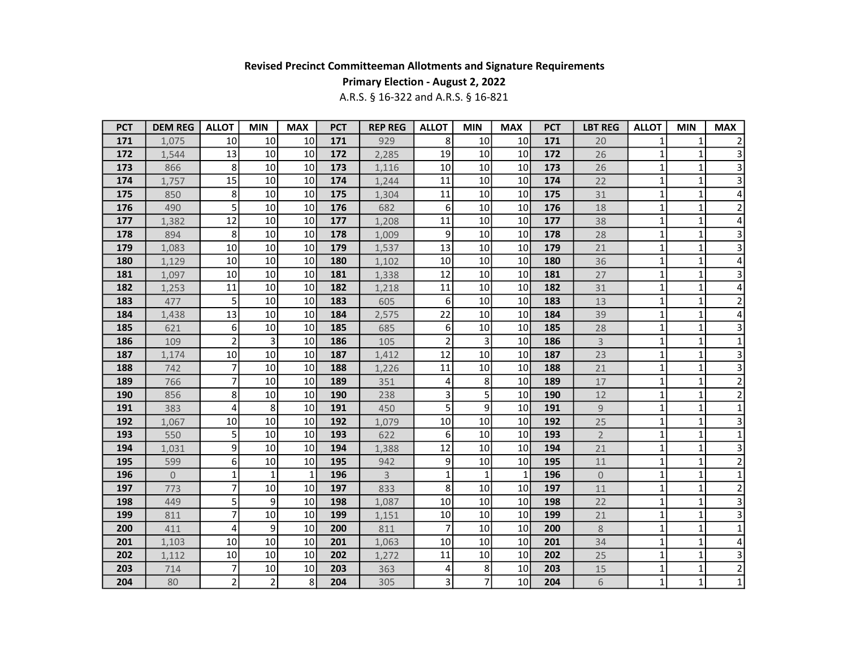## Primary Election - August 2, 2022

| <b>PCT</b> | <b>DEM REG</b> | <b>ALLOT</b>    | <b>MIN</b>     | <b>MAX</b>      | <b>PCT</b> | <b>REP REG</b> | <b>ALLOT</b>   | <b>MIN</b>     | <b>MAX</b>      | <b>PCT</b> | <b>LBT REG</b> | <b>ALLOT</b> | <b>MIN</b>   | <b>MAX</b>              |
|------------|----------------|-----------------|----------------|-----------------|------------|----------------|----------------|----------------|-----------------|------------|----------------|--------------|--------------|-------------------------|
| 171        | 1,075          | 10              | 10             | 10              | 171        | 929            | 8              | 10             | 10              | 171        | 20             |              | 1            | $\overline{2}$          |
| 172        | 1,544          | 13              | 10             | 10              | 172        | 2,285          | 19             | 10             | 10              | 172        | 26             | 1            | 1            | 3                       |
| 173        | 866            | 8               | 10             | 10              | 173        | 1,116          | 10             | 10             | 10              | 173        | 26             | $\mathbf{1}$ | $\mathbf{1}$ | $\overline{\mathbf{3}}$ |
| 174        | 1,757          | 15              | 10             | 10              | 174        | 1,244          | 11             | 10             | 10              | 174        | 22             | $\mathbf{1}$ | 1            | $\overline{3}$          |
| 175        | 850            | 8               | 10             | 10 <sup>1</sup> | 175        | 1,304          | 11             | 10             | 10              | 175        | 31             | $\mathbf{1}$ | $\mathbf{1}$ | 4                       |
| 176        | 490            | 5               | 10             | 10 <sup>1</sup> | 176        | 682            | 6              | 10             | 10              | 176        | 18             | $\mathbf{1}$ | $\mathbf{1}$ | $\mathbf 2$             |
| 177        | 1,382          | 12              | 10             | 10              | 177        | 1,208          | 11             | 10             | 10              | 177        | 38             | $\mathbf 1$  | 1            | 4                       |
| 178        | 894            | 8               | 10             | 10 <sup>1</sup> | 178        | 1,009          | 9              | 10             | 10              | 178        | 28             | 1            | $\mathbf{1}$ | 3                       |
| 179        | 1,083          | 10              | 10             | 10              | 179        | 1,537          | 13             | 10             | 10              | 179        | 21             | 1            | 1            | 3                       |
| 180        | 1,129          | 10              | 10             | 10              | 180        | 1,102          | 10             | 10             | 10              | 180        | 36             | $\mathbf{1}$ | $\mathbf{1}$ | 4                       |
| 181        | 1,097          | 10              | 10             | 10              | 181        | 1,338          | 12             | 10             | 10              | 181        | 27             | $\mathbf{1}$ | $\mathbf{1}$ | 3                       |
| 182        | 1,253          | 11              | 10             | 10 <sup>1</sup> | 182        | 1,218          | 11             | 10             | 10              | 182        | 31             | $\mathbf{1}$ | $\mathbf{1}$ | 4                       |
| 183        | 477            | 5               | 10             | 10 <sup>1</sup> | 183        | 605            | 6              | 10             | 10              | 183        | 13             | $\mathbf{1}$ | $\mathbf{1}$ | $\overline{c}$          |
| 184        | 1,438          | 13              | 10             | 10              | 184        | 2,575          | 22             | 10             | 10              | 184        | 39             | $\mathbf{1}$ | $\mathbf{1}$ | 4                       |
| 185        | 621            | 6               | 10             | 10              | 185        | 685            | 6              | 10             | 10              | 185        | 28             | 1            | $\mathbf 1$  | 3                       |
| 186        | 109            | $\overline{2}$  | 3              | 10              | 186        | 105            | $\overline{2}$ | 3              | 10              | 186        | $\mathsf{3}$   | 1            | 1            | $\mathbf{1}$            |
| 187        | 1,174          | 10              | 10             | 10              | 187        | 1,412          | 12             | 10             | 10              | 187        | 23             | $\mathbf{1}$ | $\mathbf{1}$ | $\overline{\mathbf{3}}$ |
| 188        | 742            | $\overline{7}$  | 10             | 10              | 188        | 1,226          | 11             | 10             | 10              | 188        | 21             | $\mathbf{1}$ | $\mathbf{1}$ | $\overline{\mathbf{3}}$ |
| 189        | 766            | 7               | 10             | 10 <sup>1</sup> | 189        | 351            | 4              | 8              | 10              | 189        | $17$           | $\mathbf{1}$ | $\mathbf 1$  | $\mathbf 2$             |
| 190        | 856            | 8               | 10             | 10              | 190        | 238            | 3              | 5              | 10              | 190        | 12             | $\mathbf{1}$ | $\mathbf{1}$ | $\overline{2}$          |
| 191        | 383            | 4               | 8              | 10              | 191        | 450            | 5              | 9              | 10              | 191        | 9              | 1            | 1            | 1                       |
| 192        | 1.067          | 10 <sup>1</sup> | 10             | 10              | 192        | 1,079          | 10             | 10             | 10              | 192        | 25             | 1            | 1            | 3                       |
| 193        | 550            | 5               | 10             | 10              | 193        | 622            | 6              | 10             | 10              | 193        | $\overline{2}$ | 1            | $\mathbf{1}$ | $\mathbf 1$             |
| 194        | 1,031          | 9               | 10             | 10              | 194        | 1,388          | 12             | 10             | 10              | 194        | 21             | $\mathbf{1}$ | $\mathbf{1}$ | 3                       |
| 195        | 599            | 6               | 10             | 10              | 195        | 942            | 9              | 10             | 10              | 195        | 11             | $\mathbf{1}$ | $\mathbf{1}$ | $\overline{c}$          |
| 196        | $\overline{0}$ | 1               | 1              | $\mathbf{1}$    | 196        | $\overline{3}$ | $\mathbf{1}$   | $\mathbf{1}$   | $\mathbf{1}$    | 196        | $\overline{0}$ | $\mathbf{1}$ | 1            | 1                       |
| 197        | 773            | $\overline{7}$  | 10             | 10              | 197        | 833            | 8              | 10             | 10              | 197        | 11             | $\mathbf{1}$ | $\mathbf 1$  | $\overline{c}$          |
| 198        | 449            | 5               | 9              | 10 <sup>1</sup> | 198        | 1,087          | 10             | 10             | 10              | 198        | 22             | 1            | 1            | 3                       |
| 199        | 811            | $\overline{7}$  | 10             | 10 <sup>1</sup> | 199        | 1,151          | 10             | 10             | 10              | 199        | 21             | 1            | 1            | 3                       |
| 200        | 411            | 4               | 9              | 10              | 200        | 811            | $\overline{7}$ | 10             | 10              | 200        | 8              | $\mathbf{1}$ | 1            | $\mathbf 1$             |
| 201        | 1,103          | 10 <sup>1</sup> | 10             | 10 <sup>1</sup> | 201        | 1,063          | 10             | 10             | 10              | 201        | 34             | $\mathbf{1}$ | $\mathbf{1}$ | 4                       |
| 202        | 1,112          | 10              | 10             | 10              | 202        | 1,272          | 11             | 10             | 10              | 202        | 25             | $\mathbf{1}$ | $\mathbf{1}$ | 3                       |
| 203        | 714            | 7               | 10             | 10              | 203        | 363            | 4              | 8              | 10              | 203        | 15             | 1            | $\mathbf{1}$ | $\mathbf 2$             |
| 204        | 80             | $\overline{2}$  | $\overline{2}$ | 8               | 204        | 305            | $\mathsf{3}$   | $\overline{7}$ | 10 <sup>1</sup> | 204        | 6              | $\mathbf{1}$ | $\mathbf{1}$ | $\overline{1}$          |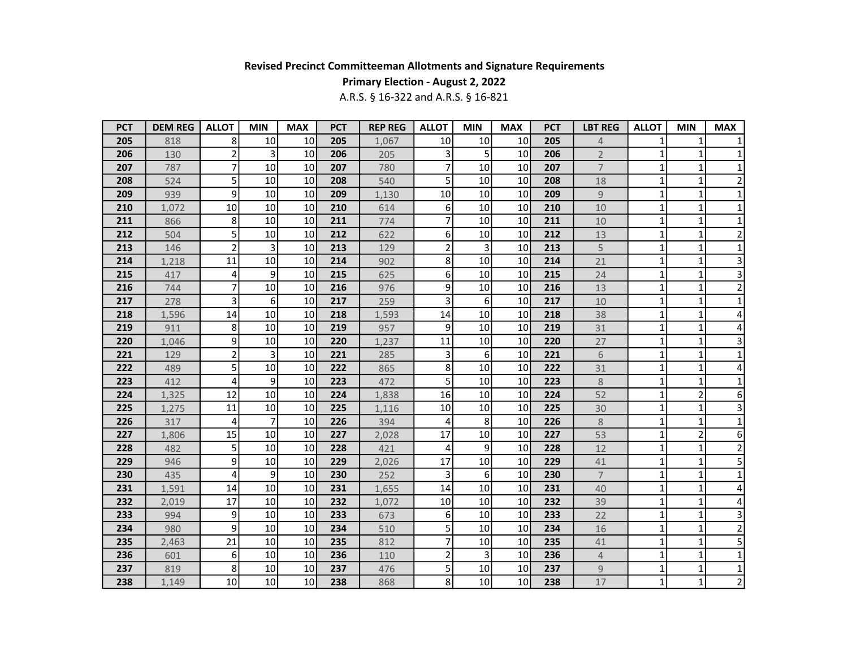## Primary Election - August 2, 2022

| <b>PCT</b> | <b>DEM REG</b> | <b>ALLOT</b>   | <b>MIN</b>     | <b>MAX</b> | <b>PCT</b> | <b>REP REG</b> | <b>ALLOT</b>            | <b>MIN</b>     | <b>MAX</b>      | <b>PCT</b> | <b>LBT REG</b> | <b>ALLOT</b> | <b>MIN</b>     | <b>MAX</b>              |
|------------|----------------|----------------|----------------|------------|------------|----------------|-------------------------|----------------|-----------------|------------|----------------|--------------|----------------|-------------------------|
| 205        | 818            | 8              | 10             | 10         | 205        | 1,067          | 10                      | 10             | 10              | 205        | 4              |              | $\mathbf{1}$   |                         |
| 206        | 130            | $\mathbf 2$    | 3              | 10         | 206        | 205            | 3                       | 5              | 10              | 206        | $\overline{2}$ | 1            | 1              | 1                       |
| 207        | 787            | $\overline{7}$ | 10             | 10         | 207        | 780            | $\overline{7}$          | 10             | 10              | 207        | $\overline{7}$ | $\mathbf{1}$ | $\mathbf{1}$   | $\mathbf{1}$            |
| 208        | 524            | 5              | 10             | 10         | 208        | 540            | 5 <sup>1</sup>          | 10             | 10              | 208        | 18             | $\mathbf{1}$ | $\mathbf{1}$   | $\overline{\mathbf{c}}$ |
| 209        | 939            | 9              | 10             | 10         | 209        | 1,130          | 10                      | 10             | 10              | 209        | $\overline{9}$ | $\mathbf{1}$ | $\mathbf{1}$   | $\mathbf{1}$            |
| 210        | 1,072          | 10             | 10             | 10         | 210        | 614            | 6                       | 10             | 10              | 210        | 10             | $\mathbf{1}$ | $\mathbf 1$    | $\mathbf 1$             |
| 211        | 866            | 8              | 10             | 10         | 211        | 774            | $\overline{7}$          | 10             | 10              | 211        | 10             | $\mathbf{1}$ | 1              | 1                       |
| 212        | 504            | 5              | 10             | 10         | 212        | 622            | 6 <sup>1</sup>          | 10             | 10              | 212        | 13             | 1            | $\mathbf{1}$   | $\overline{2}$          |
| 213        | 146            | $\overline{2}$ | 3              | 10         | 213        | 129            | $\overline{2}$          | 3              | 10              | 213        | 5              | 1            | 1              | 1                       |
| 214        | 1,218          | 11             | 10             | 10         | 214        | 902            | 8 <sup>1</sup>          | 10             | 10              | 214        | 21             | $\mathbf{1}$ | $\mathbf{1}$   | 3                       |
| 215        | 417            | 4              | 9              | 10         | 215        | 625            | 6 <sup>1</sup>          | 10             | 10 <sup>1</sup> | 215        | 24             | $\mathbf{1}$ | $\mathbf{1}$   | $\overline{\mathbf{3}}$ |
| 216        | 744            | $\overline{7}$ | 10             | 10         | 216        | 976            | $\mathsf{g}$            | 10             | 10              | 216        | 13             | 1            | $\mathbf{1}$   | $\overline{\mathbf{c}}$ |
| 217        | 278            | 3              | 6              | 10         | 217        | 259            | $\overline{3}$          | 6              | 10 <sup>1</sup> | 217        | 10             | $\mathbf{1}$ | $\mathbf{1}$   | $\mathbf 1$             |
| 218        | 1,596          | 14             | 10             | 10         | 218        | 1,593          | 14                      | 10             | 10 <sup>1</sup> | 218        | 38             | $\mathbf{1}$ | $\mathbf{1}$   | 4                       |
| 219        | 911            | 8              | 10             | 10         | 219        | 957            | $\mathsf{g}$            | 10             | 10 <sup>1</sup> | 219        | 31             | 1            | $\mathbf{1}$   | 4                       |
| 220        | 1,046          | 9              | 10             | 10         | 220        | 1,237          | 11                      | 10             | 10              | 220        | 27             | 1            | $\mathbf 1$    | 3                       |
| 221        | 129            | $\mathbf 2$    | 3              | 10         | 221        | 285            | $\overline{\mathbf{3}}$ | 6              | 10              | 221        | 6              | $\mathbf{1}$ | $\mathbf{1}$   | $\mathbf 1$             |
| 222        | 489            | 5              | 10             | 10         | 222        | 865            | $\overline{8}$          | 10             | 10              | 222        | 31             | $\mathbf{1}$ | $\mathbf 1$    | 4                       |
| 223        | 412            | 4              | 9              | 10         | 223        | 472            | 5 <sup>1</sup>          | 10             | 10              | 223        | $8\,$          | 1            | $\mathbf{1}$   | 1                       |
| 224        | 1,325          | 12             | 10             | 10         | 224        | 1,838          | 16                      | 10             | 10              | 224        | 52             | $\mathbf{1}$ | $\overline{2}$ | 6                       |
| 225        | 1,275          | 11             | 10             | 10         | 225        | 1,116          | 10 <sup>1</sup>         | 10             | 10              | 225        | 30             | $\mathbf{1}$ | $\mathbf{1}$   | 3                       |
| 226        | 317            | 4              | $\overline{7}$ | 10         | 226        | 394            | 4                       | 8              | 10              | 226        | 8              | 1            | 1              | $\mathbf{1}$            |
| 227        | 1,806          | 15             | 10             | 10         | 227        | 2,028          | 17                      | 10             | 10              | 227        | 53             | $\mathbf{1}$ | $\overline{2}$ | 6                       |
| 228        | 482            | 5              | 10             | 10         | 228        | 421            | 4                       | 9              | 10              | 228        | 12             | $\mathbf{1}$ | $\mathbf{1}$   | $\overline{2}$          |
| 229        | 946            | 9              | 10             | 10         | 229        | 2,026          | 17                      | 10             | 10 <sup>1</sup> | 229        | 41             | $\mathbf{1}$ | $\mathbf{1}$   | 5                       |
| 230        | 435            | 4              | 9              | 10         | 230        | 252            | 3                       | $6 \mid$       | 10 <sup>1</sup> | 230        | $\overline{7}$ | 1            | 1              | $\mathbf 1$             |
| 231        | 1,591          | 14             | 10             | 10         | 231        | 1,655          | 14                      | 10             | 10 <sup>1</sup> | 231        | 40             | $\mathbf{1}$ | $\mathbf{1}$   | 4                       |
| 232        | 2,019          | 17             | 10             | 10         | 232        | 1,072          | 10                      | 10             | 10 <sup>1</sup> | 232        | 39             | $\mathbf{1}$ | $\mathbf{1}$   | 4                       |
| 233        | 994            | 9              | 10             | 10         | 233        | 673            | 6 <sup>1</sup>          | 10             | 10              | 233        | 22             | 1            | 1              | 3                       |
| 234        | 980            | 9              | 10             | 10         | 234        | 510            | 5 <sup>1</sup>          | 10             | 10              | 234        | 16             | 1            | $\mathbf{1}$   | $\overline{c}$          |
| 235        | 2,463          | 21             | 10             | 10         | 235        | 812            | $\overline{7}$          | 10             | 10              | 235        | 41             | $\mathbf{1}$ | $\mathbf{1}$   | $\overline{5}$          |
| 236        | 601            | 6              | 10             | 10         | 236        | 110            | $\overline{2}$          | $\overline{3}$ | 10              | 236        | $\overline{4}$ | $\mathbf{1}$ | $\mathbf{1}$   | $\mathbf 1$             |
| 237        | 819            | 8              | 10             | 10         | 237        | 476            | $\mathsf{S}$            | 10             | 10              | 237        | $\overline{9}$ | 1            | 1              | 1                       |
| 238        | 1,149          | 10             | 10             | 10         | 238        | 868            | 8 <sup>1</sup>          | 10             | 10              | 238        | 17             | $\mathbf{1}$ | $\mathbf{1}$   | $\overline{2}$          |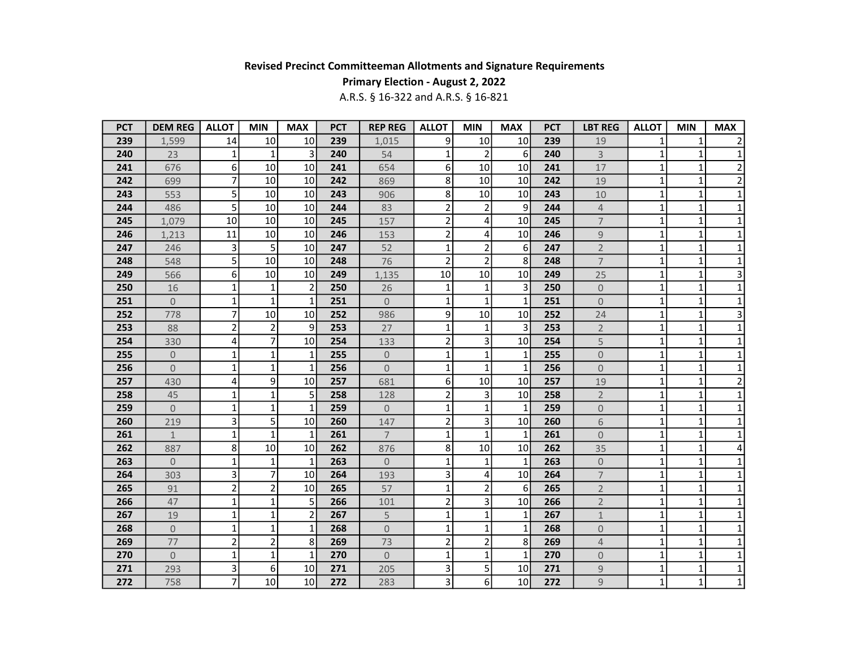## Primary Election - August 2, 2022

| <b>PCT</b> | <b>DEM REG</b>      | <b>ALLOT</b>            | <b>MIN</b>     | <b>MAX</b>     | <b>PCT</b> | <b>REP REG</b> | <b>ALLOT</b>   | <b>MIN</b>     | <b>MAX</b>       | <b>PCT</b> | <b>LBT REG</b>      | <b>ALLOT</b> | <b>MIN</b>   | <b>MAX</b>      |
|------------|---------------------|-------------------------|----------------|----------------|------------|----------------|----------------|----------------|------------------|------------|---------------------|--------------|--------------|-----------------|
| 239        | 1,599               | 14                      | 10             | 10             | 239        | 1,015          | $\overline{9}$ | 10             | 10               | 239        | 19                  | 1            | 1            | $\overline{2}$  |
| 240        | 23                  | 1                       | 1              | 3              | 240        | 54             | 1              | 2              | 6                | 240        | 3                   | 1            | 1            | $\mathbf{1}$    |
| 241        | 676                 | 6                       | 10             | 10             | 241        | 654            | $6 \mid$       | 10             | 10               | 241        | $17$                | $\mathbf{1}$ | $\mathbf{1}$ | $\mathbf 2$     |
| 242        | 699                 | $\overline{7}$          | 10             | 10             | 242        | 869            | 8 <sup>1</sup> | 10             | 10               | 242        | 19                  | 1            | $\mathbf{1}$ | $\overline{2}$  |
| 243        | 553                 | 5                       | 10             | 10             | 243        | 906            | 8 <sup>1</sup> | 10             | 10 <sup>1</sup>  | 243        | 10                  | 1            | $\mathbf{1}$ | $1\vert$        |
| 244        | 486                 | 5                       | 10             | 10             | 244        | 83             | $\overline{2}$ | $\overline{2}$ | $\overline{9}$   | 244        | $\overline{4}$      | $\mathbf{1}$ | $\mathbf 1$  | $1\vert$        |
| 245        | 1,079               | 10                      | 10             | 10             | 245        | 157            | $\overline{2}$ | 4              | 10               | 245        | $\overline{7}$      | $\mathbf{1}$ | $\mathbf{1}$ | $\mathbf{1}$    |
| 246        | 1,213               | 11                      | 10             | 10             | 246        | 153            | $\overline{2}$ | 4              | 10 <sup>1</sup>  | 246        | $\mathsf 9$         | 1            | 1            | $\mathbf 1$     |
| 247        | 246                 | 3                       | 5              | 10             | 247        | 52             | $1\vert$       | $\overline{2}$ | $6 \overline{6}$ | 247        | $\overline{2}$      | $\mathbf{1}$ | $\mathbf{1}$ | $\mathbf{1}$    |
| 248        | 548                 | 5                       | 10             | 10             | 248        | 76             | $\overline{2}$ | $\overline{2}$ | 8                | 248        | $\overline{7}$      | $\mathbf{1}$ | $\mathbf{1}$ | $\mathbf 1$     |
| 249        | 566                 | 6                       | 10             | 10             | 249        | 1,135          | 10             | 10             | 10               | 249        | 25                  | $\mathbf{1}$ | $\mathbf{1}$ | $\overline{3}$  |
| 250        | 16                  | 1                       | 1              | $\overline{2}$ | 250        | 26             | $1\vert$       | 1              | $\overline{3}$   | 250        | $\overline{0}$      | $\mathbf{1}$ | $\mathbf{1}$ | $1\vert$        |
| 251        | $\Omega$            | 1                       | 1              | $\mathbf{1}$   | 251        | $\overline{0}$ | $1\vert$       | $\mathbf{1}$   | $\mathbf{1}$     | 251        | 0                   | $\mathbf{1}$ | $\mathbf{1}$ | $1\overline{ }$ |
| 252        | 778                 | 7                       | 10             | 10             | 252        | 986            | 9              | 10             | 10               | 252        | 24                  | 1            | $\mathbf{1}$ | 3               |
| 253        | 88                  | $\overline{2}$          | 2              | 9              | 253        | 27             | $\mathbf{1}$   | 1              | 3                | 253        | $\overline{2}$      | 1            | 1            | $\mathbf 1$     |
| 254        | 330                 | 4                       | 7              | 10             | 254        | 133            | $\overline{2}$ | 3              | 10 <sup>1</sup>  | 254        | 5                   | 1            | $\mathbf{1}$ | $\mathbf 1$     |
| 255        | $\overline{0}$      | 1                       | 1              | $\mathbf{1}$   | 255        | $\overline{0}$ | 1              | 1              | $\mathbf{1}$     | 255        | $\overline{0}$      | $\mathbf{1}$ | $\mathbf{1}$ | $\mathbf 1$     |
| 256        | $\overline{0}$      | 1                       | 1              | $\mathbf{1}$   | 256        | $\overline{0}$ | $\mathbf{1}$   | $\mathbf{1}$   | $\mathbf{1}$     | 256        | $\overline{0}$      | $\mathbf{1}$ | 1            | $\mathbf 1$     |
| 257        | 430                 | 4                       | 9              | 10             | 257        | 681            | 6 <sup>1</sup> | 10             | 10 <sup>1</sup>  | 257        | 19                  | $\mathbf{1}$ | 1            | $\overline{2}$  |
| 258        | 45                  | 1                       | 1              | 5              | 258        | 128            | $\overline{2}$ | 3              | 10 <sup>1</sup>  | 258        | $\overline{2}$      | $\mathbf{1}$ | $\mathbf{1}$ | $\mathbf 1$     |
| 259        | $\overline{0}$      | 1                       | 1              | $\mathbf{1}$   | 259        | $\overline{0}$ | $\mathbf{1}$   | 1              | 1                | 259        | 0                   | 1            | 1            | $\mathbf 1$     |
| 260        | 219                 | 3                       | 5              | 10             | 260        | 147            | $\overline{2}$ | 3              | 10               | 260        | 6                   | 1            | 1            | $\mathbf 1$     |
| 261        | $\mathbf{1}$        | 1                       | 1              | 1              | 261        | $\overline{7}$ | $1\vert$       | 1              | $\mathbf{1}$     | 261        | $\overline{0}$      | $\mathbf{1}$ | $\mathbf{1}$ | $\mathbf 1$     |
| 262        | 887                 | 8                       | 10             | 10             | 262        | 876            | 8 <sup>1</sup> | 10             | 10 <sup>1</sup>  | 262        | 35                  | 1            | 1            | 4               |
| 263        | $\overline{0}$      | 1                       | $\mathbf{1}$   | $\mathbf{1}$   | 263        | $\overline{0}$ | $\mathbf{1}$   | 1              | $\mathbf{1}$     | 263        | $\overline{0}$      | 1            | 1            | $\mathbf 1$     |
| 264        | 303                 | 3                       | 7              | 10             | 264        | 193            | $\overline{3}$ | 4              | 10 <sup>1</sup>  | 264        | $\overline{7}$      | $\mathbf{1}$ | 1            | $\mathbf{1}$    |
| 265        | 91                  | $\overline{\mathbf{c}}$ | $\overline{2}$ | 10             | 265        | 57             | $1\vert$       | $\overline{2}$ | $6 \overline{6}$ | 265        | $\overline{2}$      | $\mathbf{1}$ | $\mathbf{1}$ | $\mathbf 1$     |
| 266        | 47                  | $\mathbf 1$             | 1              | 5              | 266        | 101            | $\overline{2}$ | 3              | 10               | 266        | $\overline{2}$      | $\mathbf{1}$ | $\mathbf{1}$ | $\mathbf 1$     |
| 267        | 19                  | 1                       | 1              | $\overline{2}$ | 267        | 5              | $1\vert$       | $\mathbf{1}$   | 1                | 267        | $\mathbf 1$         | 1            | $\mathbf{1}$ | $\mathbf 1$     |
| 268        | $\mathsf{O}\xspace$ | 1                       | 1              | $\mathbf{1}$   | 268        | $\overline{0}$ | $1\vert$       | 1              | $\mathbf{1}$     | 268        | $\mathsf{O}\xspace$ | $\mathbf{1}$ | $\mathbf 1$  | $\mathbf 1$     |
| 269        | 77                  | $\overline{2}$          | 2              | 8              | 269        | 73             | $\overline{2}$ | $\overline{2}$ | 8                | 269        | $\overline{4}$      | $\mathbf{1}$ | $\mathbf{1}$ | $1\overline{ }$ |
| 270        | $\overline{0}$      | 1                       | $\mathbf{1}$   | $\mathbf{1}$   | 270        | $\overline{0}$ | $\mathbf{1}$   | $\mathbf{1}$   | $\mathbf{1}$     | 270        | $\mathsf{O}\xspace$ | $\mathbf{1}$ | $\mathbf{1}$ | $\mathbf{1}$    |
| 271        | 293                 | 3                       | 6              | 10             | 271        | 205            | $\mathsf{3}$   | 5              | 10               | 271        | $\mathsf 9$         | 1            | $\mathbf 1$  | $\mathbf{1}$    |
| 272        | 758                 | 7                       | 10             | 10             | 272        | 283            | $\mathsf{3}$   | 61             | 10               | 272        | 9                   | $\mathbf{1}$ | $\mathbf{1}$ | $1\vert$        |